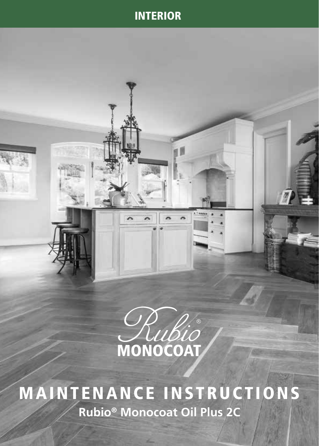# INTERIOR



 $\mathbb{Z}$ 

MAINTENANCE INSTRUCTIONS **Rubio® Monocoat Oil Plus 2C**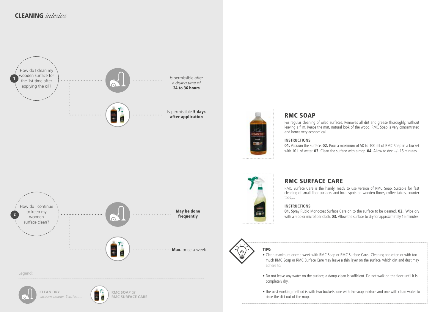



## RMC SOAP

For regular cleaning of oiled surfaces. Removes all dirt and grease thoroughly, without leaving a film. Keeps the mat, natural look of the wood. RMC Soap is very concentrated and hence very economical.

### **INSTRUCTIONS:**

**01.** Vacuum the surface. **02.** Pour a maximum of 50 to 100 ml of RMC Soap in a bucket with 10 L of water. **03.** Clean the surface with a mop. **04.** Allow to dry: +/- 15 minutes.



# RMC SURFACE CARE

RMC Surface Care is the handy, ready to use version of RMC Soap. Suitable for fast cleaning of small floor surfaces and local spots on wooden floors, coffee tables, counter tops,...

### **INSTRUCTIONS:**

**01.** Spray Rubio Monocoat Surface Care on to the surface to be cleaned. **02.** Wipe dry with a mop or microfiber cloth. **03.** Allow the surface to dry for approximately 15 minutes.



# **TIPS:**

- Clean maximum once a week with RMC Soap or RMC Surface Care. Cleaning too often or with too much RMC Soap or RMC Surface Care may leave a thin layer on the surface, which dirt and dust may adhere to.
- Do not leave any water on the surface, a damp-clean is sufficient. Do not walk on the floor until it is completely dry.
- The best working method is with two buckets: one with the soap mixture and one with clean water to rinse the dirt out of the mop.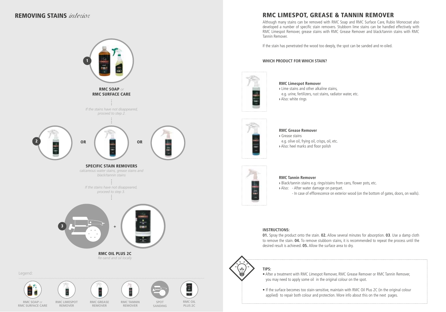## REMOVING STAINS interior



**REMOVER**

**REMOVER**

**PLUS 2C**

**SANDING**

## RMC LIMESPOT, GREASE & TANNIN REMOVER

Although many stains can be removed with RMC Soap and RMC Surface Care, Rubio Monocoat also developed a number of specific stain removers. Stubborn lime stains can be handled effectively with RMC Limespot Remover, grease stains with RMC Grease Remover and black/tannin stains with RMC Tannin Remover.

If the stain has penetrated the wood too deeply, the spot can be sanded and re-oiled.

#### **WHICH PRODUCT FOR WHICH STAIN?**



#### **RMC Limespot Remover**

**›** Lime stains and other alkaline stains, e.g. urine, fertilizers, rust stains, radiator water, etc. **›** Also: white rings



#### **RMC Grease Remover ›** Grease stains e.g. olive oil, frying oil, crisps, oil, etc. **›** Also: heel marks and floor polish



#### **RMC Tannin Remover**

**›** Black/tannin stains e.g. rings/stains from cans, flower pots, etc. **›** Also: - After water damage on parquet.

- In case of efflorescence on exterior wood (on the bottom of gates, doors, on walls).

#### **INSTRUCTIONS:**

**01.** Spray the product onto the stain. **02.** Allow several minutes for absorption. **03**. Use a damp cloth to remove the stain. **04.** To remove stubborn stains, it is recommended to repeat the process until the desired result is achieved. **05.** Allow the surface area to dry.

## **TIPS:**

- After a treatment with RMC Limespot Remover, RMC Grease Remover or RMC Tannin Remover, you may need to apply some oil in the original colour on the spot.
- If the surface becomes too stain-sensitive, maintain with RMC Oil Plus 2C (in the original colour applied) to repair both colour and protection. More info about this on the next pages.

**RMC SOAP** o **RMC SURFACE CARE**

**REMOVER**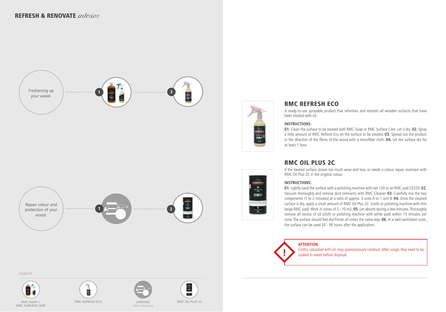



**CHIP** 

 $\frac{9}{16}$ 

## RMC REFRESH ECO

A ready-to-use sprayable product that refreshes and restores all wooden surfaces that have been treated with oil.

### **INSTRUCTIONS:**

**01.** Clean the surface to be treated with RMC Soap or RMC Surface Care. Let it dry. **02.** Spray a little amount of RMC Refresh Eco on the surface to be treated. **03.** Spread out the product in the direction of the fibres of the wood with a microfiber cloth. **04.** Let the surface dry for at least 1 hour.

## RMC OIL PLUS 2C

If the treated surface shows too much wear and tear, or needs a colour repair, maintain with RMC Oil Plus 2C in the original colour.

### **INSTRUCTIONS:**

**01.** Lightly sand the surface with a polishing machine with net 120 or an RMC pad GS320. **02.** Vacuum thoroughly and remove dust remnants with RMC Cleaner. **03.** Carefully mix the two components (1 to 2 minutes) at a ratio of approx. 3 units A to 1 unit B. **04.** Once the cleaned surface is dry, apply a small amount of RMC Oil Plus 2C (cloth or polishing machine with thin beige RMC pad). Work in zones of 5 - 10 m2. **05.** Let absorb during a few minutes. Thoroughly remove all excess of oil (cloth or polishing machine with white pad) within 15 minutes per zone. The surface should feel dry!Finish all zones the same way. **06.** In a well ventilated room, the surface can be used 24 - 36 hours after the application.

### **ATTENTION**

Cloths, saturated with oil, may spontaneously combust. After usage, they need to be soaked in water before disposal.













1 2



**RMC SOAP** or **RMC SURFACE CARE**

Repair colour and protection of your wood.